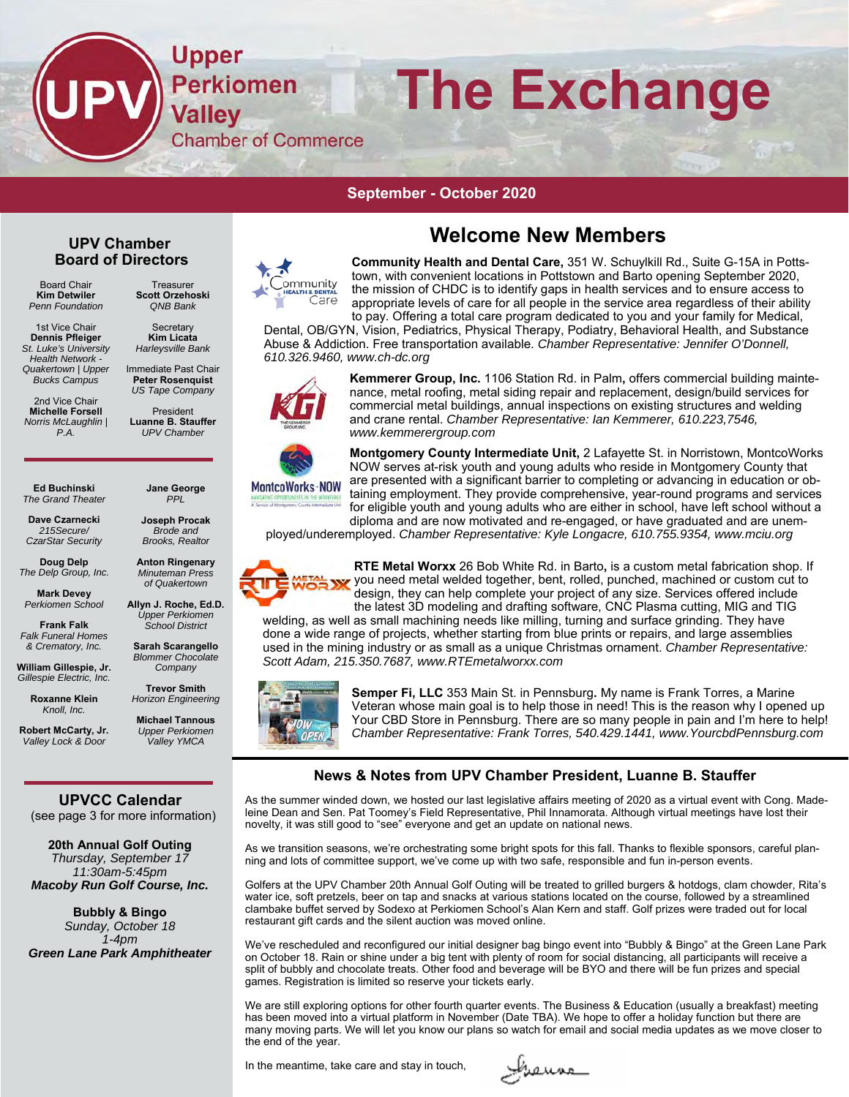Upper **The Exchange Perkiomen Valley Chamber of Commerce** 

#### **September - October 2020**

#### **UPV Chamber Board of Directors**

Board Chair **Kim Detwiler**  *Penn Foundation* 

1st Vice Chair **Dennis Pfleiger**  *St. Luke's University Health Network - Quakertown | Upper Bucks Campus* 

2nd Vice Chair **Michelle Forsell**  *Norris McLaughlin | P.A.* 

**Treasurer Scott Orzehoski**  *QNB Bank*

> **Secretary Kim Licata**  *Harleysville Bank*

Immediate Past Chair **Peter Rosenquist**  *US Tape Company* 

President **Luanne B. Stauffer**  *UPV Chamber* 

**Jane George**  *PPL*  **Joseph Procak**  *Brode and Brooks, Realtor*  **Anton Ringenary**  *Minuteman Press of Quakertown* 

**Ed Buchinski**  *The Grand Theater* 

**Dave Czarnecki**  *215Secure/ CzarStar Security* 

**Doug Delp**  *The Delp Group, Inc.* 

**Mark Devey**  *Perkiomen School*  **Frank Falk** 

*Falk Funeral Homes & Crematory, Inc.*  **William Gillespie, Jr.**  *Gillespie Electric, Inc.*  **Roxanne Klein**  *Knoll, Inc.*  **Robert McCarty, Jr.**  *Valley Lock & Door* 

**Allyn J. Roche, Ed.D.**  *Upper Perkiomen School District* 

**Sarah Scarangello**  *Blommer Chocolate Company* 

**Trevor Smith**  *Horizon Engineering* 

**Michael Tannous**  *Upper Perkiomen Valley YMCA* 

#### **UPVCC Calendar**  (see page 3 for more information)

**20th Annual Golf Outing**  *Thursday, September 17 11:30am-5:45pm Macoby Run Golf Course, Inc.* 

**Bubbly & Bingo**  *Sunday, October 18 1-4pm Green Lane Park Amphitheater*



**Community Health and Dental Care,** 351 W. Schuylkill Rd., Suite G-15A in Pottstown, with convenient locations in Pottstown and Barto opening September 2020,

the mission of CHDC is to identify gaps in health services and to ensure access to а ремтац<br>Саге appropriate levels of care for all people in the service area regardless of their ability to pay. Offering a total care program dedicated to you and your family for Medical, Dental, OB/GYN, Vision, Pediatrics, Physical Therapy, Podiatry, Behavioral Health, and Substance

**Welcome New Members** 

Abuse & Addiction. Free transportation available. *Chamber Representative: Jennifer O'Donnell, 610.326.9460, www.ch-dc.org*



**Kemmerer Group, Inc.** 1106 Station Rd. in Palm**,** offers commercial building maintenance, metal roofing, metal siding repair and replacement, design/build services for commercial metal buildings, annual inspections on existing structures and welding and crane rental. *Chamber Representative: Ian Kemmerer, 610.223,7546, www.kemmerergroup.com*



**Montgomery County Intermediate Unit,** 2 Lafayette St. in Norristown, MontcoWorks NOW serves at-risk youth and young adults who reside in Montgomery County that are presented with a significant barrier to completing or advancing in education or obtaining employment. They provide comprehensive, year-round programs and services for eligible youth and young adults who are either in school, have left school without a diploma and are now motivated and re-engaged, or have graduated and are unem-

ployed/underemployed. *Chamber Representative: Kyle Longacre, 610.755.9354, www.mciu.org*



**RTE Metal Worxx** 26 Bob White Rd. in Barto**,** is a custom metal fabrication shop. If you need metal welded together, bent, rolled, punched, machined or custom cut to design, they can help complete your project of any size. Services offered include the latest 3D modeling and drafting software, CNC Plasma cutting, MIG and TIG

welding, as well as small machining needs like milling, turning and surface grinding. They have done a wide range of projects, whether starting from blue prints or repairs, and large assemblies used in the mining industry or as small as a unique Christmas ornament. *Chamber Representative: Scott Adam, 215.350.7687, www.RTEmetalworxx.com*



**Semper Fi, LLC** 353 Main St. in Pennsburg**.** My name is Frank Torres, a Marine Veteran whose main goal is to help those in need! This is the reason why I opened up Your CBD Store in Pennsburg. There are so many people in pain and I'm here to help! *Chamber Representative: Frank Torres, 540.429.1441, www.YourcbdPennsburg.com*

## **News & Notes from UPV Chamber President, Luanne B. Stauffer**

As the summer winded down, we hosted our last legislative affairs meeting of 2020 as a virtual event with Cong. Madeleine Dean and Sen. Pat Toomey's Field Representative, Phil Innamorata. Although virtual meetings have lost their novelty, it was still good to "see" everyone and get an update on national news.

As we transition seasons, we're orchestrating some bright spots for this fall. Thanks to flexible sponsors, careful planning and lots of committee support, we've come up with two safe, responsible and fun in-person events.

Golfers at the UPV Chamber 20th Annual Golf Outing will be treated to grilled burgers & hotdogs, clam chowder, Rita's water ice, soft pretzels, beer on tap and snacks at various stations located on the course, followed by a streamlined clambake buffet served by Sodexo at Perkiomen School's Alan Kern and staff. Golf prizes were traded out for local restaurant gift cards and the silent auction was moved online.

We've rescheduled and reconfigured our initial designer bag bingo event into "Bubbly & Bingo" at the Green Lane Park on October 18. Rain or shine under a big tent with plenty of room for social distancing, all participants will receive a split of bubbly and chocolate treats. Other food and beverage will be BYO and there will be fun prizes and special games. Registration is limited so reserve your tickets early.

We are still exploring options for other fourth quarter events. The Business & Education (usually a breakfast) meeting has been moved into a virtual platform in November (Date TBA). We hope to offer a holiday function but there are many moving parts. We will let you know our plans so watch for email and social media updates as we move closer to the end of the year.

In the meantime, take care and stay in touch,

Irenne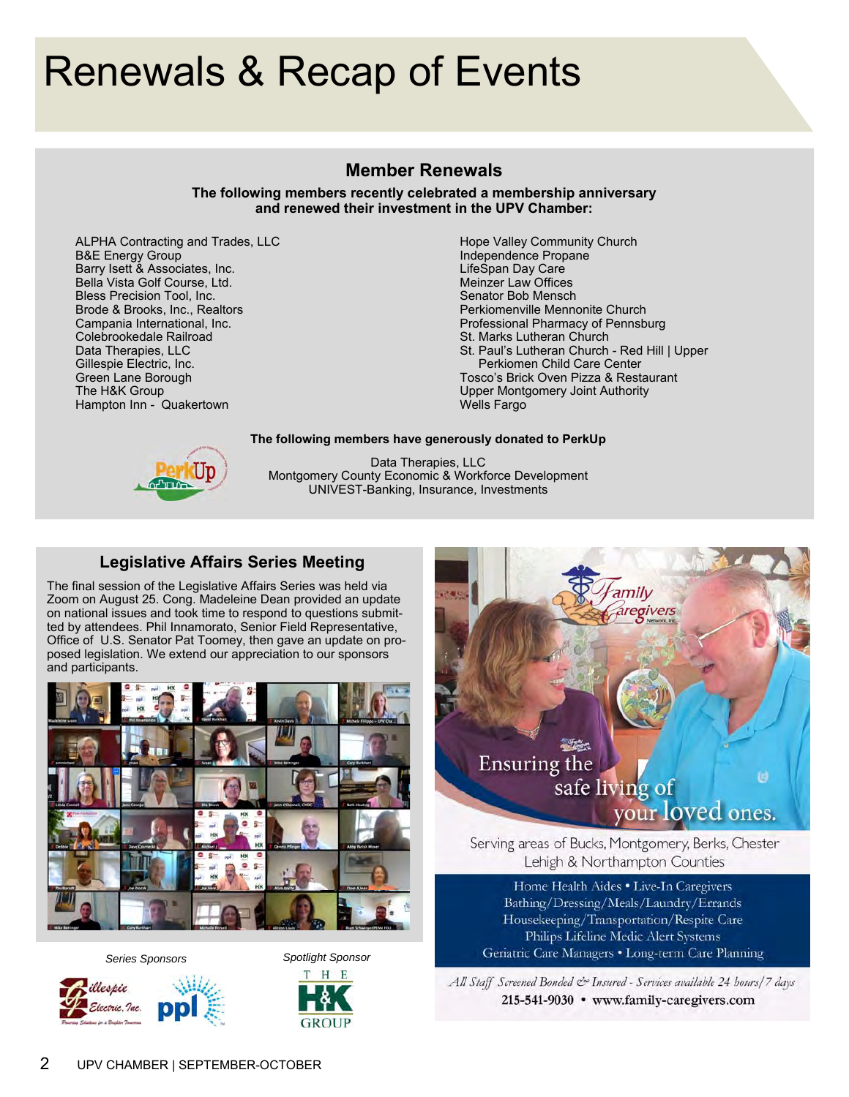# Renewals & Recap of Events

## **Member Renewals**

**The following members recently celebrated a membership anniversary and renewed their investment in the UPV Chamber:** 

ALPHA Contracting and Trades, LLC B&E Energy Group Barry Isett & Associates, Inc. Bella Vista Golf Course, Ltd. Bless Precision Tool, Inc. Brode & Brooks, Inc., Realtors Campania International, Inc. Colebrookedale Railroad Data Therapies, LLC Gillespie Electric, Inc. Green Lane Borough The H&K Group Hampton Inn - Quakertown

Hope Valley Community Church Independence Propane LifeSpan Day Care Meinzer Law Offices Senator Bob Mensch Perkiomenville Mennonite Church Professional Pharmacy of Pennsburg St. Marks Lutheran Church St. Paul's Lutheran Church - Red Hill | Upper Perkiomen Child Care Center Tosco's Brick Oven Pizza & Restaurant Upper Montgomery Joint Authority Wells Fargo

#### **The following members have generously donated to PerkUp**



Data Therapies, LLC Montgomery County Economic & Workforce Development UNIVEST-Banking, Insurance, Investments

## **Legislative Affairs Series Meeting**

The final session of the Legislative Affairs Series was held via Zoom on August 25. Cong. Madeleine Dean provided an update on national issues and took time to respond to questions submitted by attendees. Phil Innamorato, Senior Field Representative, Office of U.S. Senator Pat Toomey, then gave an update on proposed legislation. We extend our appreciation to our sponsors and participants.



*Series Sponsors Spotlight Sponsor* 







Serving areas of Bucks, Montgomery, Berks, Chester Lehigh & Northampton Counties

Home Health Aides . Live-In Caregivers Bathing/Dressing/Meals/Laundry/Errands Housekeeping/Transportation/Respite Care Philips Lifeline Medic Alert Systems Geriatric Care Managers . Long-term Care Planning

All Staff Screened Bonded & Insured - Services available 24 hours/7 days 215-541-9030 • www.family-caregivers.com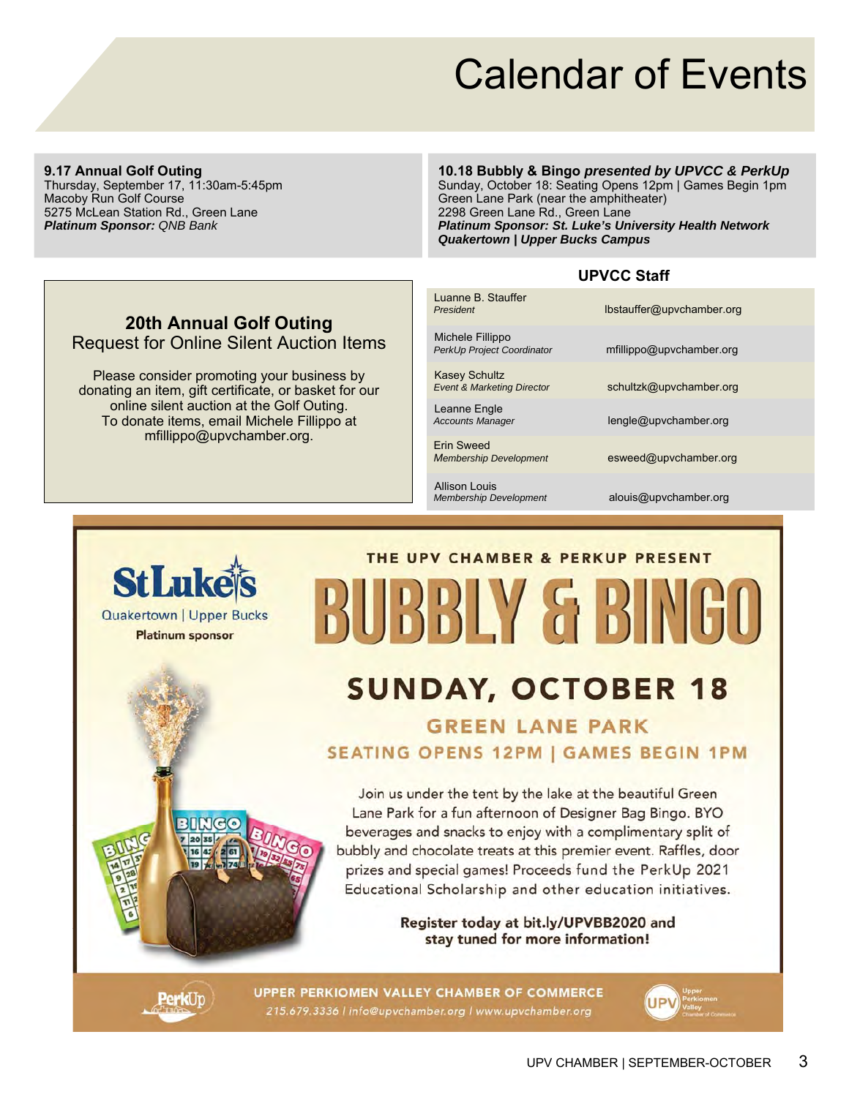# Calendar of Events

#### **9.17 Annual Golf Outing**

Thursday, September 17, 11:30am-5:45pm Macoby Run Golf Course 5275 McLean Station Rd., Green Lane *Platinum Sponsor: QNB Bank*

**StLuke** 

**Quakertown | Upper Bucks Platinum sponsor** 

#### **10.18 Bubbly & Bingo** *presented by UPVCC & PerkUp*

Sunday, October 18: Seating Opens 12pm | Games Begin 1pm Green Lane Park (near the amphitheater) 2298 Green Lane Rd., Green Lane *Platinum Sponsor: St. Luke's University Health Network Quakertown | Upper Bucks Campus*

## **UPVCC Staff**

| Luanne B Stauffer<br>President                                | lbstauffer@upvchamber.org |
|---------------------------------------------------------------|---------------------------|
| Michele Fillippo<br>PerkUp Project Coordinator                | mfillippo@upvchamber.org  |
| <b>Kasey Schultz</b><br><b>Event &amp; Marketing Director</b> | schultzk@upvchamber.org   |
| Leanne Engle<br><b>Accounts Manager</b>                       | lengle@upvchamber.org     |
| <b>Erin Sweed</b><br><b>Membership Development</b>            | esweed@upvchamber.org     |
| <b>Allison Louis</b><br><b>Membership Development</b>         | alouis@upvchamber.org     |

# **20th Annual Golf Outing**  Request for Online Silent Auction Items

Please consider promoting your business by donating an item, gift certificate, or basket for our online silent auction at the Golf Outing. To donate items, email Michele Fillippo at mfillippo@upvchamber.org.

# THE UPV CHAMBER & PERKUP PRESENT BUBBLY & BING

# **SUNDAY, OCTOBER 18**

# **GREEN LANE PARK SEATING OPENS 12PM | GAMES BEGIN 1PM**

Join us under the tent by the lake at the beautiful Green Lane Park for a fun afternoon of Designer Bag Bingo. BYO beverages and snacks to enjoy with a complimentary split of bubbly and chocolate treats at this premier event. Raffles, door prizes and special games! Proceeds fund the PerkUp 2021 Educational Scholarship and other education initiatives.

> Register today at bit.ly/UPVBB2020 and stay tuned for more information!



**UPPER PERKIOMEN VALLEY CHAMBER OF COMMERCE** 215.679.3336 | info@upvchamber.org | www.upvchamber.org